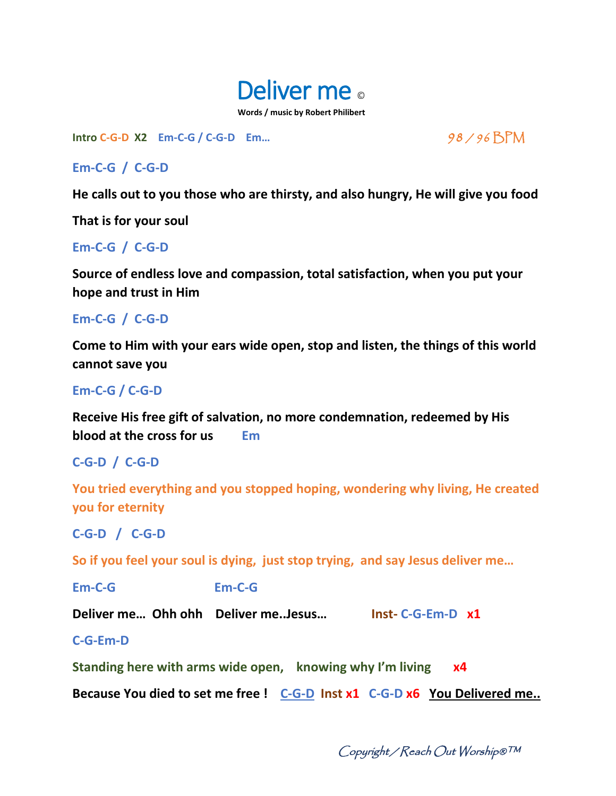

**Intro C-G-D X2 Em-C-G / C-G-D Em…** 98 / 96 BPM

# **Em-C-G / C-G-D**

**He calls out to you those who are thirsty, and also hungry, He will give you food** 

**That is for your soul**

## **Em-C-G / C-G-D**

**Source of endless love and compassion, total satisfaction, when you put your hope and trust in Him**

### **Em-C-G / C-G-D**

**Come to Him with your ears wide open, stop and listen, the things of this world cannot save you** 

## **Em-C-G / C-G-D**

**Receive His free gift of salvation, no more condemnation, redeemed by His blood at the cross for us Em**

# **C-G-D / C-G-D**

**You tried everything and you stopped hoping, wondering why living, He created you for eternity**

**C-G-D / C-G-D**

**So if you feel your soul is dying, just stop trying, and say Jesus deliver me…**

**Em-C-G Em-C-G**

**Deliver me… Ohh ohh Deliver me..Jesus… Inst- C-G-Em-D x1**

**C-G-Em-D**

**Standing here with arms wide open, knowing why I'm living x4**

**Because You died to set me free ! C-G-D Inst x1 C-G-D x6 You Delivered me..** 

Copyright / Reach Out Worship®™